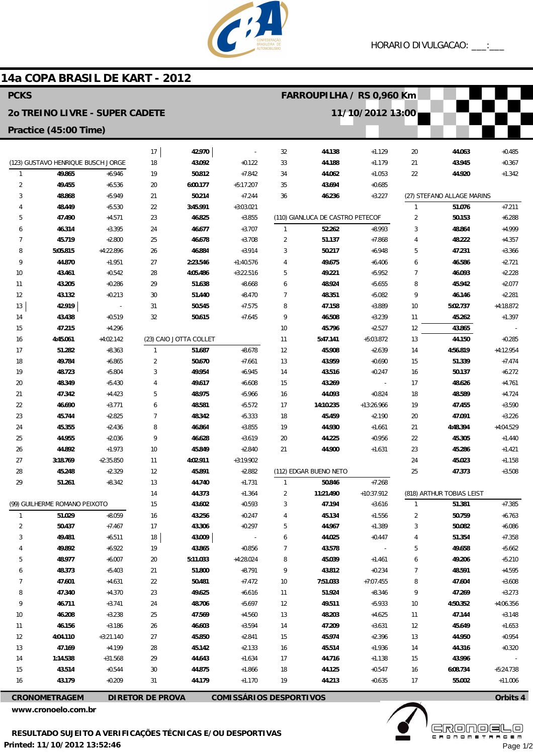

## 14a COPA BRASIL DE KART - 2012

| <b>PCKS</b>                           |                                    |                      |                         |                        |                                | FARROUPILHA / RS 0,960 Km |                                  |                          |                           |                            |                      |  |
|---------------------------------------|------------------------------------|----------------------|-------------------------|------------------------|--------------------------------|---------------------------|----------------------------------|--------------------------|---------------------------|----------------------------|----------------------|--|
| <b>20 TREINO LIVRE - SUPER CADETE</b> |                                    |                      |                         |                        |                                |                           |                                  | 11/10/2012 13:00         |                           |                            |                      |  |
| Practice (45:00 Time)                 |                                    |                      |                         |                        |                                |                           |                                  |                          |                           |                            |                      |  |
|                                       |                                    |                      | 17                      | 42.970                 |                                | 32                        | 44.138                           | $+1.129$                 | 20                        | 44.063                     | $+0.485$             |  |
|                                       | (123) GUSTAVO HENRIQUE BUSCH JORGE |                      | 18                      | 43.092                 | $+0.122$                       | 33                        | 44.188                           | $+1.179$                 | 21                        | 43.945                     | $+0.367$             |  |
| $\mathbf{1}$                          | 49.865                             | $+6.946$             | 19                      | 50.812                 | $+7.842$                       | 34                        | 44.062                           | $+1.053$                 | 22                        | 44.920                     | $+1.342$             |  |
| $\overline{2}$                        | 49.455                             | $+6.536$             | 20                      | 6:00.177               | $+5:17.207$                    | 35                        | 43.694                           | $+0.685$                 |                           |                            |                      |  |
| 3                                     | 48.868                             | $+5.949$             | 21                      | 50.214                 | $+7.244$                       | 36                        | 46.236                           | $+3.227$                 |                           | (27) STEFANO ALLAGE MARINS |                      |  |
| 4                                     | 48.449                             | $+5.530$             | 22                      | 3:45.991               | $+3:03.021$                    |                           |                                  |                          | 1                         | 51.076                     | $+7.211$             |  |
| 5                                     | 47.490                             | $+4.571$             | 23                      | 46.825                 | $+3.855$                       |                           | (110) GIANLUCA DE CASTRO PETECOF |                          | $\overline{2}$            | 50.153                     | $+6.288$             |  |
| 6                                     | 46.314                             | $+3.395$             | 24                      | 46.677                 | $+3.707$                       | $\mathbf{1}$              | 52.262                           | $+8.993$                 | 3                         | 48.864                     | $+4.999$             |  |
| 7                                     | 45.719                             | $+2.800$             | 25                      | 46.678                 | $+3.708$                       | $\overline{2}$            | 51.137                           | $+7.868$                 | 4                         | 48.222                     | $+4.357$             |  |
| 8                                     | 5:05.815                           | $+4:22.896$          | 26                      | 46.884                 | $+3.914$                       | 3                         | 50.217                           | $+6.948$                 | 5                         | 47.231                     | $+3.366$             |  |
| 9                                     | 44.870                             | $+1.951$             | 27                      | 2:23.546               | $+1:40.576$                    | 4                         | 49.675                           | $+6.406$                 | 6                         | 46.586                     | $+2.721$             |  |
| 10                                    | 43.461                             | $+0.542$             | 28                      | 4:05.486               | $+3:22.516$                    | 5                         | 49.221                           | $+5.952$                 | $\overline{7}$            | 46.093                     | $+2.228$             |  |
| 11                                    | 43.205                             | $+0.286$             | 29                      | 51.638                 | $+8.668$                       | 6                         | 48.924                           | $+5.655$                 | 8                         | 45.942                     | $+2.077$             |  |
| 12                                    | 43.132                             | $+0.213$             | 30                      | 51.440                 | $+8.470$                       | $\overline{7}$            | 48.351                           | $+5.082$                 | 9                         | 46.146                     | $+2.281$             |  |
| 13                                    | 42.919                             |                      | 31                      | 50.545                 | $+7.575$                       | 8                         | 47.158                           | $+3.889$                 | 10                        | 5:02.737                   | $+4:18.872$          |  |
| 14<br>15                              | 43.438<br>47.215                   | $+0.519$<br>$+4.296$ | 32                      | 50.615                 | $+7.645$                       | 9                         | 46.508<br>45.796                 | $+3.239$<br>$+2.527$     | 11<br>12                  | 45.262<br>43.865           | $+1.397$             |  |
| 16                                    | 4:45.061                           | $+4:02.142$          |                         | (23) CAIO JOTTA COLLET |                                | 10<br>11                  | 5:47.141                         | $+5:03.872$              | 13                        | 44.150                     | $+0.285$             |  |
| 17                                    | 51.282                             | $+8.363$             | 1                       | 51.687                 | $+8.678$                       | 12                        | 45.908                           | $+2.639$                 | 14                        | 4:56.819                   | $+4:12.954$          |  |
| 18                                    | 49.784                             | $+6.865$             | $\overline{2}$          | 50.670                 | $+7.661$                       | 13                        | 43.959                           | $+0.690$                 | 15                        | 51.339                     | $+7.474$             |  |
| 19                                    | 48.723                             | $+5.804$             | 3                       | 49.954                 | $+6.945$                       | 14                        | 43.516                           | $+0.247$                 | 16                        | 50.137                     | $+6.272$             |  |
| 20                                    | 48.349                             | $+5.430$             | 4                       | 49.617                 | $+6.608$                       | 15                        | 43.269                           | $\overline{\phantom{a}}$ | 17                        | 48.626                     | $+4.761$             |  |
| 21                                    | 47.342                             | $+4.423$             | 5                       | 48.975                 | $+5.966$                       | 16                        | 44.093                           | $+0.824$                 | 18                        | 48.589                     | $+4.724$             |  |
| 22                                    | 46.690                             | $+3.771$             | 6                       | 48.581                 | $+5.572$                       | 17                        | 14:10.235                        | +13:26.966               | 19                        | 47.455                     | $+3.590$             |  |
| 23                                    | 45.744                             | $+2.825$             | $\overline{7}$          | 48.342                 | $+5.333$                       | 18                        | 45.459                           | $+2.190$                 | 20                        | 47.091                     | $+3.226$             |  |
| 24                                    | 45.355                             | $+2.436$             | 8                       | 46.864                 | $+3.855$                       | 19                        | 44.930                           | $+1.661$                 | 21                        | 4:48.394                   | +4:04.529            |  |
| 25                                    | 44.955                             | $+2.036$             | 9                       | 46.628                 | $+3.619$                       | 20                        | 44.225                           | $+0.956$                 | 22                        | 45.305                     | $+1.440$             |  |
| 26                                    | 44.892                             | $+1.973$             | 10                      | 45.849                 | $+2.840$                       | 21                        | 44.900                           | $+1.631$                 | 23                        | 45.286                     | $+1.421$             |  |
| 27                                    | 3:18.769                           | $+2:35.850$          | 11                      | 4:02.911               | $+3:19.902$                    |                           |                                  |                          | 24                        | 45.023                     | $+1.158$             |  |
| 28                                    | 45.248                             | $+2.329$             | 12                      | 45.891                 | $+2.882$                       |                           | (112) EDGAR BUENO NETO           |                          | 25                        | 47.373                     | $+3.508$             |  |
| 29                                    | 51.261                             | $+8.342$             | 13                      | 44.740                 | $+1.731$                       | $\mathbf{1}$              | 50.846                           | $+7.268$                 |                           |                            |                      |  |
|                                       |                                    | 14                   | 44.373                  | $+1.364$               | $\overline{2}$                 | 11:21.490                 | +10:37.912                       |                          | (818) ARTHUR TOBIAS LEIST |                            |                      |  |
| (99) GUILHERME ROMANO PEIXOTO         |                                    |                      | 15                      | 43.602                 | $+0.593$                       | 3                         | 47.194                           | $+3.616$                 | 1                         | 51.381                     | $+7.385$             |  |
| $\mathbf{1}$                          | 51.029                             | $+8.059$             | 16                      | 43.256                 | $+0.247$                       | 4                         | 45.134                           | $+1.556$                 | 2                         | 50.759                     | $+6.763$             |  |
| $\overline{2}$                        | 50.437                             | $+7.467$             | 17                      | 43.306                 | $+0.297$                       | 5                         | 44.967                           | $+1.389$                 | 3                         | 50.082                     | $+6.086$             |  |
| 3                                     | 49.481                             | $+6.511$             | 18                      | 43.009                 |                                | 6                         | 44.025                           | $+0.447$                 | 4                         | 51.354                     | $+7.358$             |  |
|                                       | 49.892                             | $+6.922$             | 19                      | 43.865                 | $+0.856$                       | 7                         | 43.578                           |                          | 5                         | 49.658                     | $+5.662$             |  |
| 5                                     | 48.977                             | $+6.007$             | 20                      | 5:11.033               | +4:28.024                      | 8                         | 45.039                           | $+1.461$                 | 6                         | 49.206                     | $+5.210$             |  |
| 6                                     | 48.373                             | $+5.403$             | 21                      | 51.800                 | $+8.791$                       | 9                         | 43.812                           | $+0.234$                 | 7                         | 48.591                     | $+4.595$             |  |
| 7                                     | 47.601                             | $+4.631$             | 22                      | 50.481                 | $+7.472$                       | 10                        | 7:51.033                         | $+7:07.455$              | 8                         | 47.604                     | $+3.608$             |  |
| 8                                     | 47.340                             | $+4.370$             | 23                      | 49.625                 | $+6.616$                       | 11                        | 51.924                           | $+8.346$                 | 9                         | 47.269                     | $+3.273$             |  |
| 9                                     | 46.711                             | $+3.741$             | 24                      | 48.706                 | $+5.697$                       | 12                        | 49.511                           | $+5.933$                 | 10                        | 4:50.352                   | $+4:06.356$          |  |
| 10<br>11                              | 46.208<br>46.156                   | $+3.238$<br>$+3.186$ | 25<br>26                | 47.569<br>46.603       | $+4.560$<br>$+3.594$           | 13<br>14                  | 48.203<br>47.209                 | $+4.625$<br>$+3.631$     | 11<br>12                  | 47.144<br>45.649           | $+3.148$<br>$+1.653$ |  |
| 12                                    | 4:04.110                           | $+3:21.140$          | 27                      | 45.850                 | $+2.841$                       | 15                        | 45.974                           | $+2.396$                 | 13                        | 44.950                     | $+0.954$             |  |
| 13                                    | 47.169                             | $+4.199$             | 28                      | 45.142                 | $+2.133$                       | 16                        | 45.514                           | $+1.936$                 | 14                        | 44.316                     | $+0.320$             |  |
| 14                                    | 1:14.538                           | $+31.568$            | 29                      | 44.643                 | $+1.634$                       | 17                        | 44.716                           | $+1.138$                 | 15                        | 43.996                     |                      |  |
| 15                                    | 43.514                             | $+0.544$             | 30                      | 44.875                 | $+1.866$                       | 18                        | 44.125                           | $+0.547$                 | 16                        | 6:08.734                   | $+5:24.738$          |  |
| 16                                    | 43.179                             | $+0.209$             | 31                      | 44.179                 | $+1.170$                       | 19                        | 44.213                           | $+0.635$                 | 17                        | 55.002                     | $+11.006$            |  |
|                                       |                                    |                      |                         |                        |                                |                           |                                  |                          |                           |                            |                      |  |
|                                       | <b>CRONOMETRAGEM</b>               |                      | <b>DIRETOR DE PROVA</b> |                        | <b>COMISSÁRIOS DESPORTIVOS</b> |                           |                                  |                          |                           |                            | Orbits 4             |  |

www.cronoelo.com.br



Orbits 4

Page 1/2